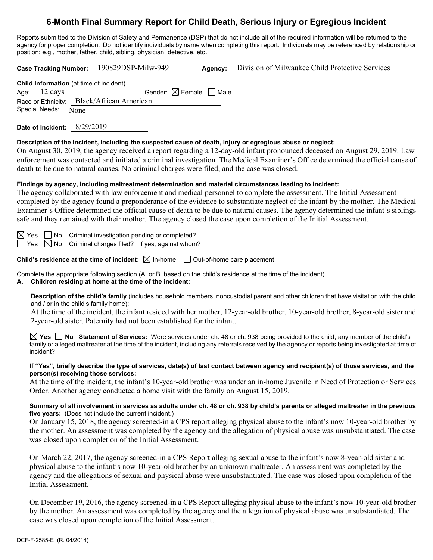# **6-Month Final Summary Report for Child Death, Serious Injury or Egregious Incident**

Reports submitted to the Division of Safety and Permanence (DSP) that do not include all of the required information will be returned to the agency for proper completion. Do not identify individuals by name when completing this report. Individuals may be referenced by relationship or position; e.g., mother, father, child, sibling, physician, detective, etc.

**Case Tracking Number:** 190829DSP-Milw-949 **Agency:** Division of Milwaukee Child Protective Services

| <b>Child Information</b> (at time of incident) |                                        |  |  |  |
|------------------------------------------------|----------------------------------------|--|--|--|
| Age: $12 \text{ days}$                         | Gender: $\boxtimes$ Female $\Box$ Male |  |  |  |
| Race or Ethnicity: Black/African American      |                                        |  |  |  |
| Special Needs: None                            |                                        |  |  |  |

**Date of Incident:** 8/29/2019

### **Description of the incident, including the suspected cause of death, injury or egregious abuse or neglect:**

On August 30, 2019, the agency received a report regarding a 12-day-old infant pronounced deceased on August 29, 2019. Law enforcement was contacted and initiated a criminal investigation. The Medical Examiner's Office determined the official cause of death to be due to natural causes. No criminal charges were filed, and the case was closed.

### **Findings by agency, including maltreatment determination and material circumstances leading to incident:**

The agency collaborated with law enforcement and medical personnel to complete the assessment. The Initial Assessment completed by the agency found a preponderance of the evidence to substantiate neglect of the infant by the mother. The Medical Examiner's Office determined the official cause of death to be due to natural causes. The agency determined the infant's siblings safe and they remained with their mother. The agency closed the case upon completion of the Initial Assessment.

| $\boxtimes$ Yes | No Criminal investigation pending or completed? |  |  |
|-----------------|-------------------------------------------------|--|--|
|-----------------|-------------------------------------------------|--|--|

 $\Box$  Yes  $\boxtimes$  No Criminal charges filed? If yes, against whom?

**Child's residence at the time of incident:**  $\boxtimes$  In-home  $\Box$  Out-of-home care placement

Complete the appropriate following section (A. or B. based on the child's residence at the time of the incident).

#### **A. Children residing at home at the time of the incident:**

**Description of the child's family** (includes household members, noncustodial parent and other children that have visitation with the child and / or in the child's family home):

At the time of the incident, the infant resided with her mother, 12-year-old brother, 10-year-old brother, 8-year-old sister and 2-year-old sister. Paternity had not been established for the infant.

**Yes No Statement of Services:** Were services under ch. 48 or ch. 938 being provided to the child, any member of the child's family or alleged maltreater at the time of the incident, including any referrals received by the agency or reports being investigated at time of incident?

#### **If "Yes", briefly describe the type of services, date(s) of last contact between agency and recipient(s) of those services, and the person(s) receiving those services:**

At the time of the incident, the infant's 10-year-old brother was under an in-home Juvenile in Need of Protection or Services Order. Another agency conducted a home visit with the family on August 15, 2019.

#### **Summary of all involvement in services as adults under ch. 48 or ch. 938 by child's parents or alleged maltreater in the previous five years:** (Does not include the current incident.)

On January 15, 2018, the agency screened-in a CPS report alleging physical abuse to the infant's now 10-year-old brother by the mother. An assessment was completed by the agency and the allegation of physical abuse was unsubstantiated. The case was closed upon completion of the Initial Assessment.

On March 22, 2017, the agency screened-in a CPS Report alleging sexual abuse to the infant's now 8-year-old sister and physical abuse to the infant's now 10-year-old brother by an unknown maltreater. An assessment was completed by the agency and the allegations of sexual and physical abuse were unsubstantiated. The case was closed upon completion of the Initial Assessment.

On December 19, 2016, the agency screened-in a CPS Report alleging physical abuse to the infant's now 10-year-old brother by the mother. An assessment was completed by the agency and the allegation of physical abuse was unsubstantiated. The case was closed upon completion of the Initial Assessment.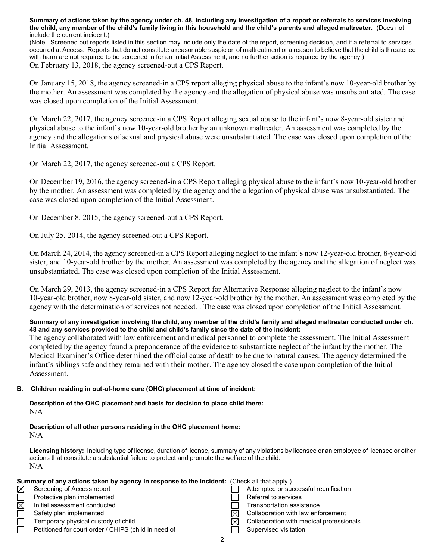**Summary of actions taken by the agency under ch. 48, including any investigation of a report or referrals to services involving the child, any member of the child's family living in this household and the child's parents and alleged maltreater.** (Does not include the current incident.)

(Note: Screened out reports listed in this section may include only the date of the report, screening decision, and if a referral to services occurred at Access. Reports that do not constitute a reasonable suspicion of maltreatment or a reason to believe that the child is threatened with harm are not required to be screened in for an Initial Assessment, and no further action is required by the agency.) On February 13, 2018, the agency screened-out a CPS Report.

On January 15, 2018, the agency screened-in a CPS report alleging physical abuse to the infant's now 10-year-old brother by the mother. An assessment was completed by the agency and the allegation of physical abuse was unsubstantiated. The case was closed upon completion of the Initial Assessment.

On March 22, 2017, the agency screened-in a CPS Report alleging sexual abuse to the infant's now 8-year-old sister and physical abuse to the infant's now 10-year-old brother by an unknown maltreater. An assessment was completed by the agency and the allegations of sexual and physical abuse were unsubstantiated. The case was closed upon completion of the Initial Assessment.

On March 22, 2017, the agency screened-out a CPS Report.

On December 19, 2016, the agency screened-in a CPS Report alleging physical abuse to the infant's now 10-year-old brother by the mother. An assessment was completed by the agency and the allegation of physical abuse was unsubstantiated. The case was closed upon completion of the Initial Assessment.

On December 8, 2015, the agency screened-out a CPS Report.

On July 25, 2014, the agency screened-out a CPS Report.

On March 24, 2014, the agency screened-in a CPS Report alleging neglect to the infant's now 12-year-old brother, 8-year-old sister, and 10-year-old brother by the mother. An assessment was completed by the agency and the allegation of neglect was unsubstantiated. The case was closed upon completion of the Initial Assessment.

On March 29, 2013, the agency screened-in a CPS Report for Alternative Response alleging neglect to the infant's now 10-year-old brother, now 8-year-old sister, and now 12-year-old brother by the mother. An assessment was completed by the agency with the determination of services not needed. . The case was closed upon completion of the Initial Assessment.

#### **Summary of any investigation involving the child, any member of the child's family and alleged maltreater conducted under ch. 48 and any services provided to the child and child's family since the date of the incident:**

The agency collaborated with law enforcement and medical personnel to complete the assessment. The Initial Assessment completed by the agency found a preponderance of the evidence to substantiate neglect of the infant by the mother. The Medical Examiner's Office determined the official cause of death to be due to natural causes. The agency determined the infant's siblings safe and they remained with their mother. The agency closed the case upon completion of the Initial Assessment.

#### **B. Children residing in out-of-home care (OHC) placement at time of incident:**

**Description of the OHC placement and basis for decision to place child there:** N/A

#### **Description of all other persons residing in the OHC placement home:** N/A

**Licensing history:** Including type of license, duration of license, summary of any violations by licensee or an employee of licensee or other actions that constitute a substantial failure to protect and promote the welfare of the child. N/A

| Summary of any actions taken by agency in response to the incident: (Check all that apply.) |                                                      |  |                                          |  |
|---------------------------------------------------------------------------------------------|------------------------------------------------------|--|------------------------------------------|--|
| $\boxtimes$                                                                                 | Screening of Access report                           |  | Attempted or successful reunification    |  |
|                                                                                             | Protective plan implemented                          |  | Referral to services                     |  |
| $\boxtimes$                                                                                 | Initial assessment conducted                         |  | Transportation assistance                |  |
|                                                                                             | Safety plan implemented                              |  | Collaboration with law enforcement       |  |
|                                                                                             | Temporary physical custody of child                  |  | Collaboration with medical professionals |  |
|                                                                                             | Petitioned for court order / CHIPS (child in need of |  | Supervised visitation                    |  |